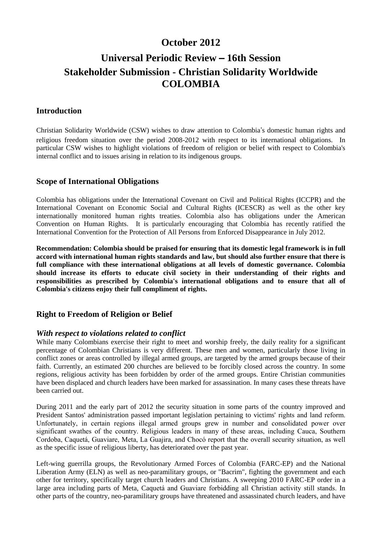# **October 2012**

# **Universal Periodic Review** – **16th Session Stakeholder Submission - Christian Solidarity Worldwide COLOMBIA**

### **Introduction**

Christian Solidarity Worldwide (CSW) wishes to draw attention to Colombia's domestic human rights and religious freedom situation over the period 2008-2012 with respect to its international obligations. In particular CSW wishes to highlight violations of freedom of religion or belief with respect to Colombia's internal conflict and to issues arising in relation to its indigenous groups.

#### **Scope of International Obligations**

Colombia has obligations under the International Covenant on Civil and Political Rights (ICCPR) and the International Covenant on Economic Social and Cultural Rights (ICESCR) as well as the other key internationally monitored human rights treaties. Colombia also has obligations under the American Convention on Human Rights. It is particularly encouraging that Colombia has recently ratified the International Convention for the Protection of All Persons from Enforced Disappearance in July 2012.

**Recommendation: Colombia should be praised for ensuring that its domestic legal framework is in full accord with international human rights standards and law, but should also further ensure that there is full compliance with these international obligations at all levels of domestic governance. Colombia should increase its efforts to educate civil society in their understanding of their rights and responsibilities as prescribed by Colombia's international obligations and to ensure that all of Colombia's citizens enjoy their full compliment of rights.**

## **Right to Freedom of Religion or Belief**

#### *With respect to violations related to conflict*

While many Colombians exercise their right to meet and worship freely, the daily reality for a significant percentage of Colombian Christians is very different. These men and women, particularly those living in conflict zones or areas controlled by illegal armed groups, are targeted by the armed groups because of their faith. Currently, an estimated 200 churches are believed to be forcibly closed across the country. In some regions, religious activity has been forbidden by order of the armed groups. Entire Christian communities have been displaced and church leaders have been marked for assassination. In many cases these threats have been carried out.

During 2011 and the early part of 2012 the security situation in some parts of the country improved and President Santos' administration passed important legislation pertaining to victims' rights and land reform. Unfortunately, in certain regions illegal armed groups grew in number and consolidated power over significant swathes of the country. Religious leaders in many of these areas, including Cauca, Southern Cordoba, Caquetá, Guaviare, Meta, La Guajira, and Chocó report that the overall security situation, as well as the specific issue of religious liberty, has deteriorated over the past year.

Left-wing guerrilla groups, the Revolutionary Armed Forces of Colombia (FARC-EP) and the National Liberation Army (ELN) as well as neo-paramilitary groups, or "Bacrim", fighting the government and each other for territory, specifically target church leaders and Christians. A sweeping 2010 FARC-EP order in a large area including parts of Meta, Caquetá and Guaviare forbidding all Christian activity still stands. In other parts of the country, neo-paramilitary groups have threatened and assassinated church leaders, and have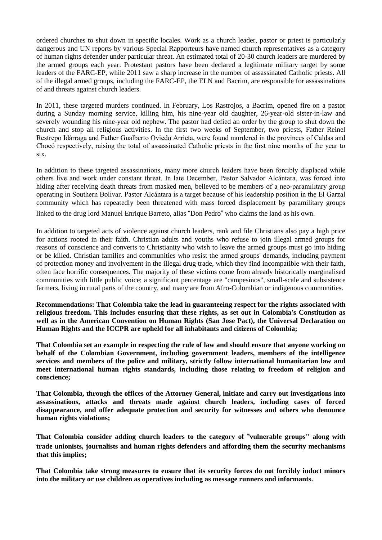ordered churches to shut down in specific locales. Work as a church leader, pastor or priest is particularly dangerous and UN reports by various Special Rapporteurs have named church representatives as a category of human rights defender under particular threat. An estimated total of 20-30 church leaders are murdered by the armed groups each year. Protestant pastors have been declared a legitimate military target by some leaders of the FARC-EP, while 2011 saw a sharp increase in the number of assassinated Catholic priests. All of the illegal armed groups, including the FARC-EP, the ELN and Bacrim, are responsible for assassinations of and threats against church leaders.

In 2011, these targeted murders continued. In February, Los Rastrojos, a Bacrim, opened fire on a pastor during a Sunday morning service, killing him, his nine-year old daughter, 26-year-old sister-in-law and severely wounding his nine-year old nephew. The pastor had defied an order by the group to shut down the church and stop all religious activities. In the first two weeks of September, two priests, Father Reinel Restrepo Idárraga and Father Gualberto Oviedo Arrieta, were found murdered in the provinces of Caldas and Chocó respectively, raising the total of assassinated Catholic priests in the first nine months of the year to six.

In addition to these targeted assassinations, many more church leaders have been forcibly displaced while others live and work under constant threat. In late December, Pastor Salvador Alcántara, was forced into hiding after receiving death threats from masked men, believed to be members of a neo-paramilitary group operating in Southern Bolivar. Pastor Alcántara is a target because of his leadership position in the El Garzal community which has repeatedly been threatened with mass forced displacement by paramilitary groups

linked to the drug lord Manuel Enrique Barreto, alias "Don Pedro" who claims the land as his own.

In addition to targeted acts of violence against church leaders, rank and file Christians also pay a high price for actions rooted in their faith. Christian adults and youths who refuse to join illegal armed groups for reasons of conscience and converts to Christianity who wish to leave the armed groups must go into hiding or be killed. Christian families and communities who resist the armed groups' demands, including payment of protection money and involvement in the illegal drug trade, which they find incompatible with their faith, often face horrific consequences. The majority of these victims come from already historically marginalised communities with little public voice; a significant percentage are "campesinos", small-scale and subsistence farmers, living in rural parts of the country, and many are from Afro-Colombian or indigenous communities.

**Recommendations: That Colombia take the lead in guaranteeing respect for the rights associated with religious freedom. This includes ensuring that these rights, as set out in Colombia's Constitution as well as in the American Convention on Human Rights (San Jose Pact), the Universal Declaration on Human Rights and the ICCPR are upheld for all inhabitants and citizens of Colombia;**

**That Colombia set an example in respecting the rule of law and should ensure that anyone working on behalf of the Colombian Government, including government leaders, members of the intelligence services and members of the police and military, strictly follow international humanitarian law and meet international human rights standards, including those relating to freedom of religion and conscience;**

**That Colombia, through the offices of the Attorney General, initiate and carry out investigations into assassinations, attacks and threats made against church leaders, including cases of forced disappearance, and offer adequate protection and security for witnesses and others who denounce human rights violations;**

**That Colombia consider adding church leaders to the category of** "**vulnerable groups" along with trade unionists, journalists and human rights defenders and affording them the security mechanisms that this implies;**

**That Colombia take strong measures to ensure that its security forces do not forcibly induct minors into the military or use children as operatives including as message runners and informants.**